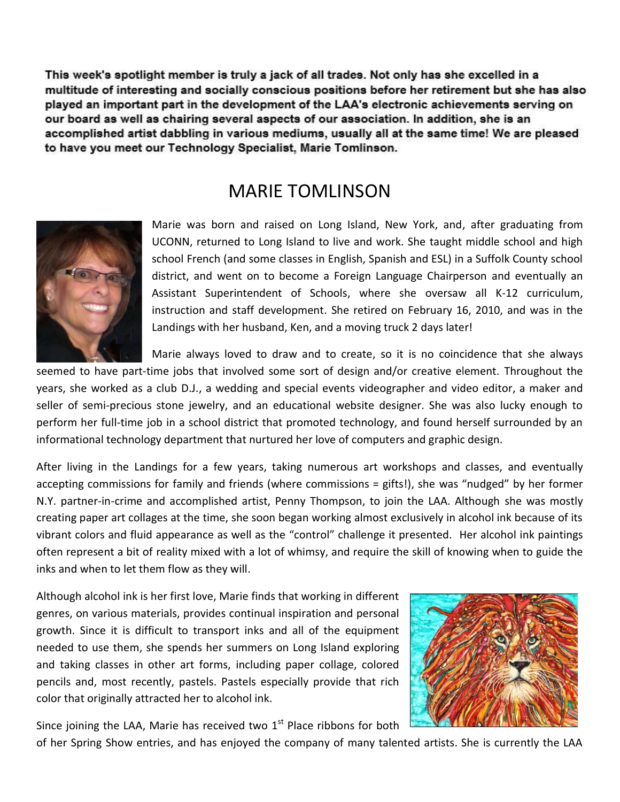This week's spotlight member is truly a jack of all trades. Not only has she excelled in a multitude of interesting and socially conscious positions before her retirement but she has also played an important part in the development of the LAA's electronic achievements serving on our board as well as chairing several aspects of our association. In addition, she is an accomplished artist dabbling in various mediums, usually all at the same time! We are pleased to have you meet our Technology Specialist, Marie Tomlinson.

## MARIE TOMLINSON MARIE TOMLINSON



Marie was born and raised on Long Island, New York, and, UCONN, returned to Long Island to live and work. She taught middle school and high school French (and some classes in English, Spanish and ESL) in a Suffolk County school district, and went on to become a Foreign Language Chairperson Assistant Superintendent of Schools, where she oversaw all K-12 curriculum, instruction and staff development. She retired on February 16, 2010, and was in the Landings with her husband, Ken, and a moving truck 2 days later! instruction and staff development. She retired on February 16, 2010, and was in the Landings with her husband, Ken, and a moving truck 2 days later!<br>Marie always loved to draw and to create, so it is no coincidence that sh returned to Long Island to live and work. She taught middle school an<br>rench (and some classes in English, Spanish and ESL) in a Suffolk County<br>and went on to become a Foreign Language Chairperson and eventual<br>t Superintend Chairperson and eventually an

seemed to have part-time jobs that involved some sort of design and/or creative element. Throughout the seemed to have part-time jobs that involved some sort of design and/or creative element. Throughout the<br>years, she worked as a club D.J., a wedding and special events videographer and video editor, a maker and seller of semi-precious stone jewelry, and an educational website designer. She was also lucky enough to perform her full-time job in a school district that promoted technology, and found herself surrounded by an informational technology department that nurtured her love of computers and graphic design. precious stone jewelry, and an educational website designer. She was also I<br>Ill-time job in a school district that promoted technology, and found herself su<br>echnology department that nurtured her love of computers and grap

After living in the Landings for a few years, taking numerous art workshops and classes, and eventually accepting commissions for family and friends (where commissions = gifts!), she was "nudged" by her former N.Y. partner-in-crime and accomplished artist, Penny Thompson, to join the LAA. Although she was mostly creating paper art collages at the time, she soon began working almost exclusively in alcohol ink because of its vibrant colors and fluid appearance as well as the "control" challenge it presented. Her alcohol ink paintings often represent a bit of reality mixed with a lot of whimsy, and require the skill of knowing when to guide the inks and when to let them flow as they will. N.Y. partner-in-crime and accomplished artist, Penny Thompson, to join the LAA. Although<br>creating paper art collages at the time, she soon began working almost exclusively in alcohol ir<br>vibrant colors and fluid appearance Marie was born and reised on Long Island, New York, and, after graduating from<br>School menth, and some classes in English, Spanish and ESU in a Suffolk County school<br>school Fench (and some classes in English, Spanish and E

Although alcohol ink is her first love, Marie finds that working in different genres, on various materials, provides continual inspiration and personal growth. Since it is difficult to transport inks and all of the equipment needed to use them, she spends her summers on Long Island exploring and taking classes in other art forms, including paper collage, colored pencils and, most recently, pastels. Pastels especially provide that rich color that originally attracted her to alcohol ink. Although alcohol ink is her first love, Marie finds that working in different genres, on various materials, provides continual inspiration and personal growth. Since it is difficult to transport inks and all of the equipme



of her Spring Show entries, and has enjoyed the company of many talented artists. She is currently the LAA